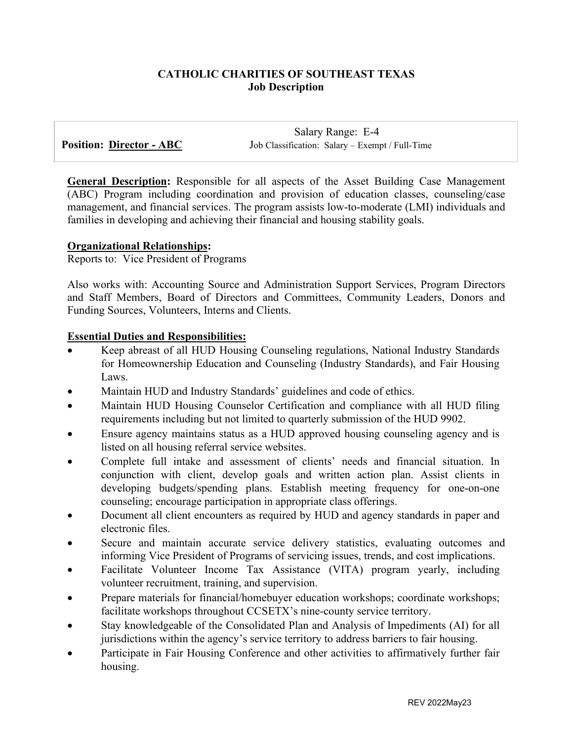# **CATHOLIC CHARITIES OF SOUTHEAST TEXAS Job Description**

 Salary Range: E-4 **Position: Director - ABC** Job Classification: Salary – Exempt / Full-Time

**General Description:** Responsible for all aspects of the Asset Building Case Management (ABC) Program including coordination and provision of education classes, counseling/case management, and financial services. The program assists low-to-moderate (LMI) individuals and families in developing and achieving their financial and housing stability goals.

### **Organizational Relationships:**

Reports to: Vice President of Programs

Also works with: Accounting Source and Administration Support Services, Program Directors and Staff Members, Board of Directors and Committees, Community Leaders, Donors and Funding Sources, Volunteers, Interns and Clients.

### **Essential Duties and Responsibilities:**

- Keep abreast of all HUD Housing Counseling regulations, National Industry Standards for Homeownership Education and Counseling (Industry Standards), and Fair Housing Laws.
- Maintain HUD and Industry Standards' guidelines and code of ethics.
- Maintain HUD Housing Counselor Certification and compliance with all HUD filing requirements including but not limited to quarterly submission of the HUD 9902.
- Ensure agency maintains status as a HUD approved housing counseling agency and is listed on all housing referral service websites.
- Complete full intake and assessment of clients' needs and financial situation. In conjunction with client, develop goals and written action plan. Assist clients in developing budgets/spending plans. Establish meeting frequency for one-on-one counseling; encourage participation in appropriate class offerings.
- Document all client encounters as required by HUD and agency standards in paper and electronic files.
- Secure and maintain accurate service delivery statistics, evaluating outcomes and informing Vice President of Programs of servicing issues, trends, and cost implications.
- Facilitate Volunteer Income Tax Assistance (VITA) program yearly, including volunteer recruitment, training, and supervision.
- Prepare materials for financial/homebuyer education workshops; coordinate workshops; facilitate workshops throughout CCSETX's nine-county service territory.
- Stay knowledgeable of the Consolidated Plan and Analysis of Impediments (AI) for all jurisdictions within the agency's service territory to address barriers to fair housing.
- Participate in Fair Housing Conference and other activities to affirmatively further fair housing.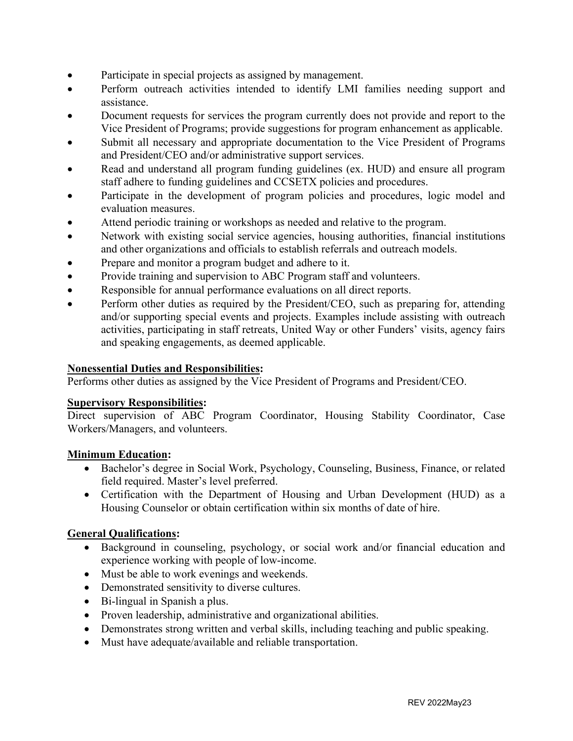- Participate in special projects as assigned by management.
- Perform outreach activities intended to identify LMI families needing support and assistance.
- Document requests for services the program currently does not provide and report to the Vice President of Programs; provide suggestions for program enhancement as applicable.
- Submit all necessary and appropriate documentation to the Vice President of Programs and President/CEO and/or administrative support services.
- Read and understand all program funding guidelines (ex. HUD) and ensure all program staff adhere to funding guidelines and CCSETX policies and procedures.
- Participate in the development of program policies and procedures, logic model and evaluation measures.
- Attend periodic training or workshops as needed and relative to the program.
- Network with existing social service agencies, housing authorities, financial institutions and other organizations and officials to establish referrals and outreach models.
- Prepare and monitor a program budget and adhere to it.
- Provide training and supervision to ABC Program staff and volunteers.
- Responsible for annual performance evaluations on all direct reports.
- Perform other duties as required by the President/CEO, such as preparing for, attending and/or supporting special events and projects. Examples include assisting with outreach activities, participating in staff retreats, United Way or other Funders' visits, agency fairs and speaking engagements, as deemed applicable.

# **Nonessential Duties and Responsibilities:**

Performs other duties as assigned by the Vice President of Programs and President/CEO.

# **Supervisory Responsibilities:**

Direct supervision of ABC Program Coordinator, Housing Stability Coordinator, Case Workers/Managers, and volunteers.

# **Minimum Education:**

- Bachelor's degree in Social Work, Psychology, Counseling, Business, Finance, or related field required. Master's level preferred.
- Certification with the Department of Housing and Urban Development (HUD) as a Housing Counselor or obtain certification within six months of date of hire.

# **General Qualifications:**

- Background in counseling, psychology, or social work and/or financial education and experience working with people of low-income.
- Must be able to work evenings and weekends.
- Demonstrated sensitivity to diverse cultures.
- Bi-lingual in Spanish a plus.
- Proven leadership, administrative and organizational abilities.
- Demonstrates strong written and verbal skills, including teaching and public speaking.
- Must have adequate/available and reliable transportation.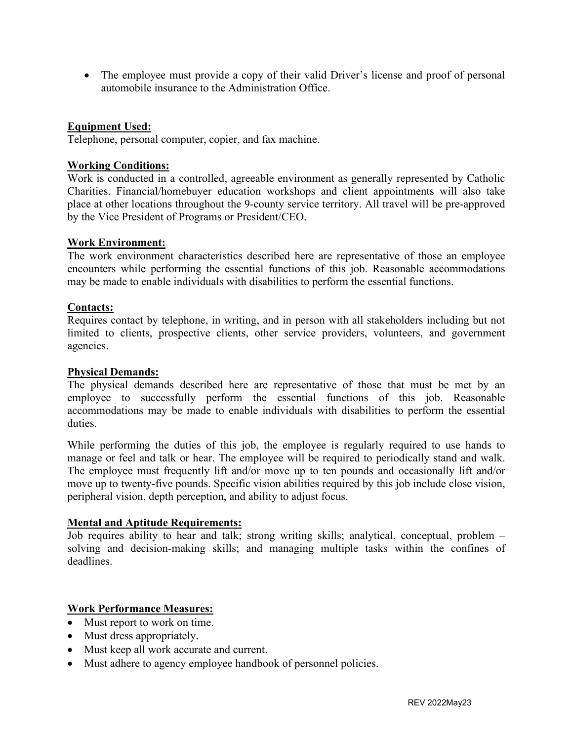• The employee must provide a copy of their valid Driver's license and proof of personal automobile insurance to the Administration Office.

### **Equipment Used:**

Telephone, personal computer, copier, and fax machine.

### **Working Conditions:**

Work is conducted in a controlled, agreeable environment as generally represented by Catholic Charities. Financial/homebuyer education workshops and client appointments will also take place at other locations throughout the 9-county service territory. All travel will be pre-approved by the Vice President of Programs or President/CEO.

### **Work Environment:**

The work environment characteristics described here are representative of those an employee encounters while performing the essential functions of this job. Reasonable accommodations may be made to enable individuals with disabilities to perform the essential functions.

### **Contacts:**

Requires contact by telephone, in writing, and in person with all stakeholders including but not limited to clients, prospective clients, other service providers, volunteers, and government agencies.

#### **Physical Demands:**

The physical demands described here are representative of those that must be met by an employee to successfully perform the essential functions of this job. Reasonable accommodations may be made to enable individuals with disabilities to perform the essential duties.

While performing the duties of this job, the employee is regularly required to use hands to manage or feel and talk or hear. The employee will be required to periodically stand and walk. The employee must frequently lift and/or move up to ten pounds and occasionally lift and/or move up to twenty-five pounds. Specific vision abilities required by this job include close vision, peripheral vision, depth perception, and ability to adjust focus.

### **Mental and Aptitude Requirements:**

Job requires ability to hear and talk; strong writing skills; analytical, conceptual, problem – solving and decision-making skills; and managing multiple tasks within the confines of deadlines.

### **Work Performance Measures:**

- Must report to work on time.
- Must dress appropriately.
- Must keep all work accurate and current.
- Must adhere to agency employee handbook of personnel policies.